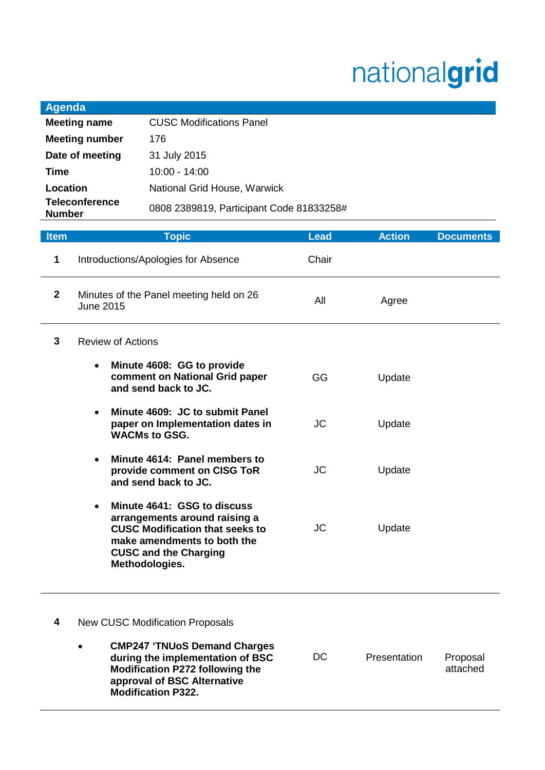## nationalgrid

| <b>Agenda</b>                          |                                          |
|----------------------------------------|------------------------------------------|
| <b>Meeting name</b>                    | <b>CUSC Modifications Panel</b>          |
| <b>Meeting number</b>                  | 176                                      |
| Date of meeting                        | 31 July 2015                             |
| Time                                   | $10:00 - 14:00$                          |
| Location                               | National Grid House, Warwick             |
| <b>Teleconference</b><br><b>Number</b> | 0808 2389819, Participant Code 81833258# |

| <b>Item</b>  | <b>Topic</b>                                                                                                                                                                                         | <b>Lead</b> | <b>Action</b> | <b>Documents</b> |
|--------------|------------------------------------------------------------------------------------------------------------------------------------------------------------------------------------------------------|-------------|---------------|------------------|
| 1            | Introductions/Apologies for Absence                                                                                                                                                                  | Chair       |               |                  |
| $\mathbf{2}$ | Minutes of the Panel meeting held on 26<br>June 2015                                                                                                                                                 | All         | Agree         |                  |
| 3            | <b>Review of Actions</b>                                                                                                                                                                             |             |               |                  |
|              | Minute 4608: GG to provide<br>$\bullet$<br>comment on National Grid paper<br>and send back to JC.                                                                                                    | <b>GG</b>   | Update        |                  |
|              | Minute 4609: JC to submit Panel<br>paper on Implementation dates in<br><b>WACMs to GSG.</b>                                                                                                          | <b>JC</b>   | Update        |                  |
|              | Minute 4614: Panel members to<br>$\bullet$<br>provide comment on CISG ToR<br>and send back to JC.                                                                                                    | <b>JC</b>   | Update        |                  |
|              | Minute 4641: GSG to discuss<br>$\bullet$<br>arrangements around raising a<br><b>CUSC Modification that seeks to</b><br>make amendments to both the<br><b>CUSC and the Charging</b><br>Methodologies. | <b>JC</b>   | Update        |                  |
| 4            | <b>New CUSC Modification Proposals</b>                                                                                                                                                               |             |               |                  |

 **CMP247 'TNUoS Demand Charges during the implementation of BSC Modification P272 following the approval of BSC Alternative Modification P322.** DC Presentation Proposal attached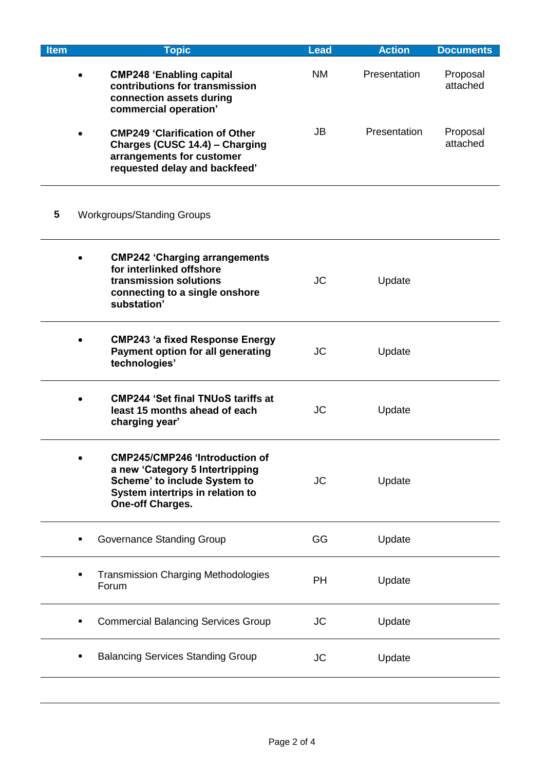| <b>Item</b>                                         | <b>Topic</b>                                                                                                                                                            | <b>Lead</b> | <b>Action</b> | <b>Documents</b>     |
|-----------------------------------------------------|-------------------------------------------------------------------------------------------------------------------------------------------------------------------------|-------------|---------------|----------------------|
|                                                     | <b>CMP248 'Enabling capital</b><br>contributions for transmission<br>connection assets during<br>commercial operation'                                                  | <b>NM</b>   | Presentation  | Proposal<br>attached |
|                                                     | <b>CMP249 'Clarification of Other</b><br>Charges (CUSC 14.4) - Charging<br>arrangements for customer<br>requested delay and backfeed'                                   | JB          | Presentation  | Proposal<br>attached |
| 5                                                   | <b>Workgroups/Standing Groups</b>                                                                                                                                       |             |               |                      |
|                                                     | <b>CMP242 'Charging arrangements</b><br>for interlinked offshore<br>transmission solutions<br>connecting to a single onshore<br>substation'                             | <b>JC</b>   | Update        |                      |
|                                                     | <b>CMP243 'a fixed Response Energy</b><br>Payment option for all generating<br>technologies'                                                                            | <b>JC</b>   | Update        |                      |
|                                                     | <b>CMP244 'Set final TNUoS tariffs at</b><br>least 15 months ahead of each<br>charging year'                                                                            | <b>JC</b>   | Update        |                      |
|                                                     | <b>CMP245/CMP246 'Introduction of</b><br>a new 'Category 5 Intertripping<br>Scheme' to include System to<br>System intertrips in relation to<br><b>One-off Charges.</b> | <b>JC</b>   | Update        |                      |
|                                                     | <b>Governance Standing Group</b>                                                                                                                                        | GG          | Update        |                      |
| <b>Transmission Charging Methodologies</b><br>Forum |                                                                                                                                                                         | <b>PH</b>   | Update        |                      |
|                                                     | <b>Commercial Balancing Services Group</b>                                                                                                                              | <b>JC</b>   | Update        |                      |
|                                                     | <b>Balancing Services Standing Group</b>                                                                                                                                | <b>JC</b>   | Update        |                      |
|                                                     |                                                                                                                                                                         |             |               |                      |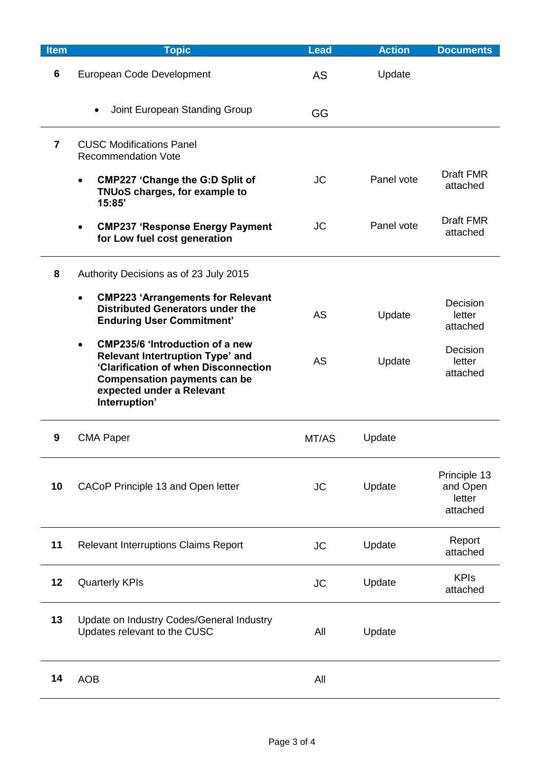| <b>Item</b>             | <b>Topic</b>                                                                                                                                                                                                         | <b>Lead</b> | <b>Action</b> | <b>Documents</b>                               |
|-------------------------|----------------------------------------------------------------------------------------------------------------------------------------------------------------------------------------------------------------------|-------------|---------------|------------------------------------------------|
| 6                       | European Code Development                                                                                                                                                                                            | AS          | Update        |                                                |
|                         | Joint European Standing Group<br>$\bullet$                                                                                                                                                                           | GG          |               |                                                |
| $\overline{\mathbf{z}}$ | <b>CUSC Modifications Panel</b><br><b>Recommendation Vote</b>                                                                                                                                                        |             |               |                                                |
|                         | <b>CMP227 'Change the G:D Split of</b><br>$\bullet$<br>TNUoS charges, for example to<br>15:85'                                                                                                                       | <b>JC</b>   | Panel vote    | <b>Draft FMR</b><br>attached                   |
|                         | <b>CMP237 'Response Energy Payment</b><br>$\bullet$<br>for Low fuel cost generation                                                                                                                                  | <b>JC</b>   | Panel vote    | <b>Draft FMR</b><br>attached                   |
| 8                       | Authority Decisions as of 23 July 2015                                                                                                                                                                               |             |               |                                                |
|                         | <b>CMP223 'Arrangements for Relevant</b><br>$\bullet$<br><b>Distributed Generators under the</b><br><b>Enduring User Commitment'</b>                                                                                 | <b>AS</b>   | Update        | Decision<br>letter<br>attached                 |
|                         | <b>CMP235/6 'Introduction of a new</b><br>$\bullet$<br>Relevant Intertruption Type' and<br>'Clarification of when Disconnection<br><b>Compensation payments can be</b><br>expected under a Relevant<br>Interruption' | <b>AS</b>   | Update        | Decision<br>letter<br>attached                 |
| 9                       | <b>CMA Paper</b>                                                                                                                                                                                                     | MT/AS       | Update        |                                                |
| 10                      | CACoP Principle 13 and Open letter                                                                                                                                                                                   | <b>JC</b>   | Update        | Principle 13<br>and Open<br>letter<br>attached |
| 11                      | <b>Relevant Interruptions Claims Report</b>                                                                                                                                                                          | <b>JC</b>   | Update        | Report<br>attached                             |
| 12                      | <b>Quarterly KPIs</b>                                                                                                                                                                                                | <b>JC</b>   | Update        | <b>KPIs</b><br>attached                        |
| 13                      | Update on Industry Codes/General Industry<br>Updates relevant to the CUSC                                                                                                                                            | All         | Update        |                                                |
| 14                      | <b>AOB</b>                                                                                                                                                                                                           | All         |               |                                                |